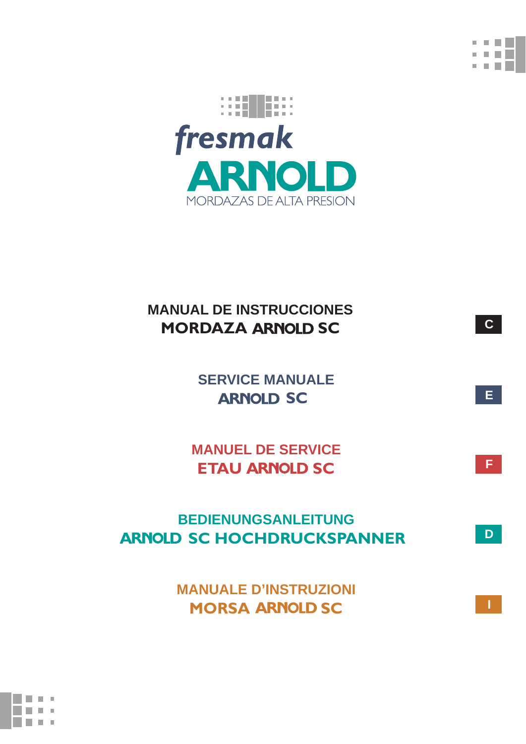

**C**

**E**

**F**

**D**

**I**



# **MANUAL DE INSTRUCCIONES MORDAZA ARNOLD SC**

 **SERVICE MANUALE ARNOLD SC** 

 **MANUEL DE SERVICE ETAU ARNOLD SC** 

 **BEDIENUNGSANLEITUNG ARNOLD SC HOCHDRUCKSPANNER** 

> **MANUALE D'INSTRUZIONI MORSA ARNOLD SC**

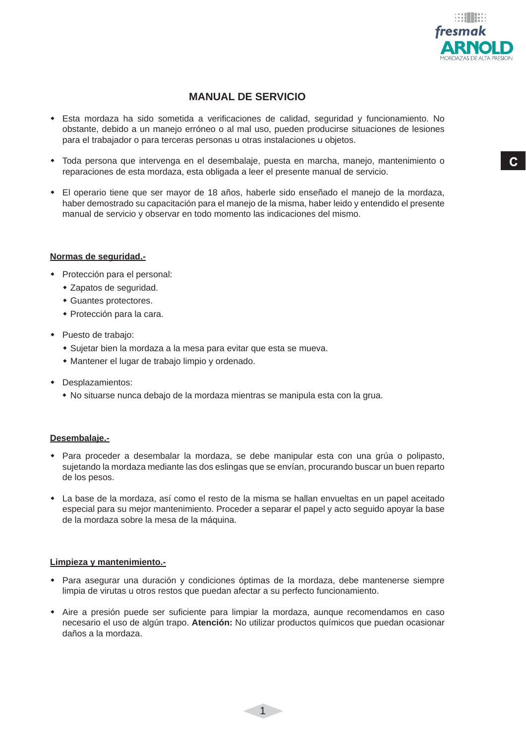

 $\mathbf{C}$ 

### **MANUAL DE SERVICIO**

- Esta mordaza ha sido sometida a verificaciones de calidad, seguridad y funcionamiento. No obstante, debido a un manejo erróneo o al mal uso, pueden producirse situaciones de lesiones para el trabajador o para terceras personas u otras instalaciones u objetos.
- Toda persona que intervenga en el desembalaje, puesta en marcha, manejo, mantenimiento o reparaciones de esta mordaza, esta obligada a leer el presente manual de servicio.
- El operario tiene que ser mayor de 18 años, haberle sido enseñado el manejo de la mordaza, haber demostrado su capacitación para el manejo de la misma, haber leido y entendido el presente manual de servicio y observar en todo momento las indicaciones del mismo.

#### **Normas de seguridad.-**

- Protección para el personal:
	- Zapatos de seguridad.
	- Guantes protectores.
	- Protección para la cara.
- Puesto de trabajo:
	- Sujetar bien la mordaza a la mesa para evitar que esta se mueva.
	- Mantener el lugar de trabajo limpio y ordenado.
- Desplazamientos:
	- No situarse nunca debajo de la mordaza mientras se manipula esta con la grua.

#### **Desembalaje.-**

- Para proceder a desembalar la mordaza, se debe manipular esta con una grúa o polipasto, sujetando la mordaza mediante las dos eslingas que se envían, procurando buscar un buen reparto de los pesos.
- La base de la mordaza, así como el resto de la misma se hallan envueltas en un papel aceitado especial para su mejor mantenimiento. Proceder a separar el papel y acto seguido apoyar la base de la mordaza sobre la mesa de la máquina.

#### **Limpieza y mantenimiento.-**

- Para asegurar una duración y condiciones óptimas de la mordaza, debe mantenerse siempre limpia de virutas u otros restos que puedan afectar a su perfecto funcionamiento.
- Aire a presión puede ser suficiente para limpiar la mordaza, aunque recomendamos en caso necesario el uso de algún trapo. **Atención:** No utilizar productos químicos que puedan ocasionar daños a la mordaza.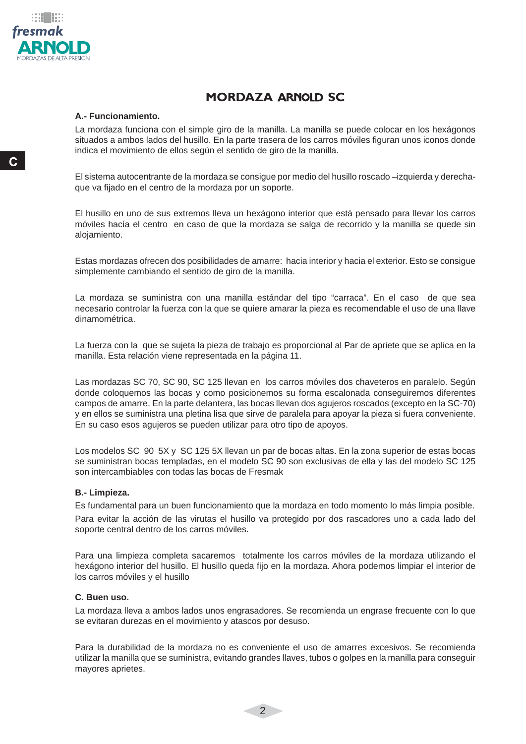

# **MORDAZA ARNOLD SC**

#### **A.- Funcionamiento.**

La mordaza funciona con el simple giro de la manilla. La manilla se puede colocar en los hexágonos situados a ambos lados del husillo. En la parte trasera de los carros móviles figuran unos iconos donde indica el movimiento de ellos según el sentido de giro de la manilla.

El sistema autocentrante de la mordaza se consigue por medio del husillo roscado –izquierda y derechaque va fijado en el centro de la mordaza por un soporte.

El husillo en uno de sus extremos lleva un hexágono interior que está pensado para llevar los carros móviles hacía el centro en caso de que la mordaza se salga de recorrido y la manilla se quede sin alojamiento.

Estas mordazas ofrecen dos posibilidades de amarre: hacia interior y hacia el exterior. Esto se consigue simplemente cambiando el sentido de giro de la manilla.

La mordaza se suministra con una manilla estándar del tipo "carraca". En el caso de que sea necesario controlar la fuerza con la que se quiere amarar la pieza es recomendable el uso de una llave dinamométrica.

La fuerza con la que se sujeta la pieza de trabajo es proporcional al Par de apriete que se aplica en la manilla. Esta relación viene representada en la página 11.

Las mordazas SC 70, SC 90, SC 125 llevan en los carros móviles dos chaveteros en paralelo. Según donde coloquemos las bocas y como posicionemos su forma escalonada conseguiremos diferentes campos de amarre. En la parte delantera, las bocas llevan dos agujeros roscados (excepto en la SC-70) y en ellos se suministra una pletina lisa que sirve de paralela para apoyar la pieza si fuera conveniente. En su caso esos agujeros se pueden utilizar para otro tipo de apoyos.

Los modelos SC 90 5X y SC 125 5X llevan un par de bocas altas. En la zona superior de estas bocas se suministran bocas templadas, en el modelo SC 90 son exclusivas de ella y las del modelo SC 125 son intercambiables con todas las bocas de Fresmak

#### **B.- Limpieza.**

Es fundamental para un buen funcionamiento que la mordaza en todo momento lo más limpia posible.

Para evitar la acción de las virutas el husillo va protegido por dos rascadores uno a cada lado del soporte central dentro de los carros móviles.

Para una limpieza completa sacaremos totalmente los carros móviles de la mordaza utilizando el hexágono interior del husillo. El husillo queda fiio en la mordaza. Ahora podemos limpiar el interior de los carros móviles y el husillo

#### **C. Buen uso.**

La mordaza lleva a ambos lados unos engrasadores. Se recomienda un engrase frecuente con lo que se evitaran durezas en el movimiento y atascos por desuso.

Para la durabilidad de la mordaza no es conveniente el uso de amarres excesivos. Se recomienda utilizar la manilla que se suministra, evitando grandes llaves, tubos o golpes en la manilla para conseguir mayores aprietes.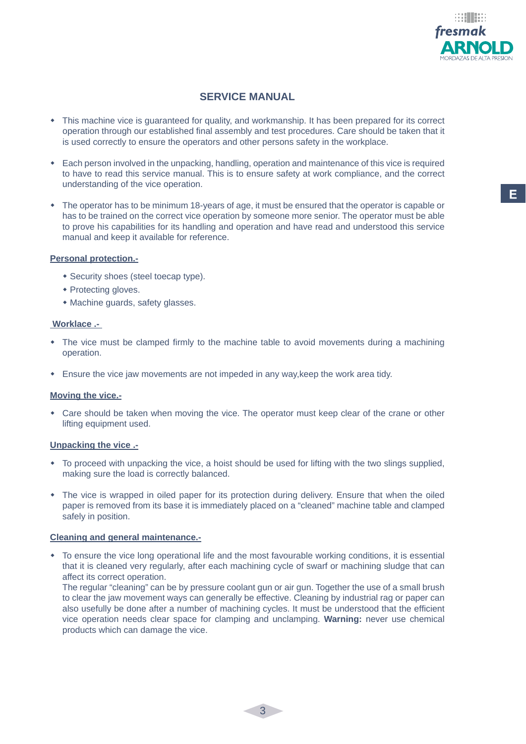

### **SERVICE MANUAL**

- This machine vice is guaranteed for quality, and workmanship. It has been prepared for its correct operation through our established final assembly and test procedures. Care should be taken that it is used correctly to ensure the operators and other persons safety in the workplace.
- Each person involved in the unpacking, handling, operation and maintenance of this vice is required to have to read this service manual. This is to ensure safety at work compliance, and the correct understanding of the vice operation.
- The operator has to be minimum 18-years of age, it must be ensured that the operator is capable or has to be trained on the correct vice operation by someone more senior. The operator must be able to prove his capabilities for its handling and operation and have read and understood this service manual and keep it available for reference.

#### **Personal protection.-**

- Security shoes (steel toecap type).
- Protecting gloves.
- Machine guards, safety glasses.

#### **Worklace .-**

- The vice must be clamped firmly to the machine table to avoid movements during a machining operation.
- Ensure the vice jaw movements are not impeded in any way,keep the work area tidy.

#### **Moving the vice.-**

 Care should be taken when moving the vice. The operator must keep clear of the crane or other lifting equipment used.

#### **Unpacking the vice .-**

- To proceed with unpacking the vice, a hoist should be used for lifting with the two slings supplied, making sure the load is correctly balanced.
- The vice is wrapped in oiled paper for its protection during delivery. Ensure that when the oiled paper is removed from its base it is immediately placed on a "cleaned" machine table and clamped safely in position.

#### **Cleaning and general maintenance.-**

 To ensure the vice long operational life and the most favourable working conditions, it is essential that it is cleaned very regularly, after each machining cycle of swarf or machining sludge that can affect its correct operation.

 The regular "cleaning" can be by pressure coolant gun or air gun. Together the use of a small brush to clear the jaw movement ways can generally be effective. Cleaning by industrial rag or paper can also usefully be done after a number of machining cycles. It must be understood that the efficient vice operation needs clear space for clamping and unclamping. **Warning:** never use chemical products which can damage the vice.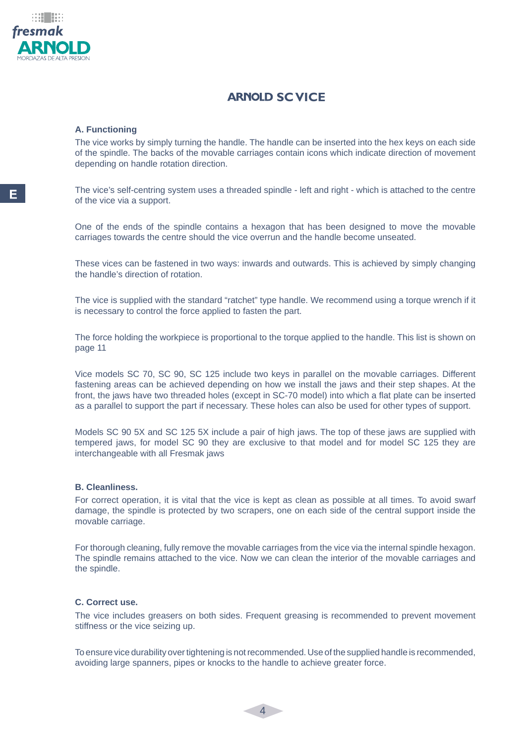

### **ARNOLD SC VICE**

#### **A. Functioning**

The vice works by simply turning the handle. The handle can be inserted into the hex keys on each side of the spindle. The backs of the movable carriages contain icons which indicate direction of movement depending on handle rotation direction.

The vice's self-centring system uses a threaded spindle - left and right - which is attached to the centre of the vice via a support.

One of the ends of the spindle contains a hexagon that has been designed to move the movable carriages towards the centre should the vice overrun and the handle become unseated.

These vices can be fastened in two ways: inwards and outwards. This is achieved by simply changing the handle's direction of rotation.

The vice is supplied with the standard "ratchet" type handle. We recommend using a torque wrench if it is necessary to control the force applied to fasten the part.

The force holding the workpiece is proportional to the torque applied to the handle. This list is shown on page 11

Vice models SC 70, SC 90, SC 125 include two keys in parallel on the movable carriages. Different fastening areas can be achieved depending on how we install the jaws and their step shapes. At the front, the jaws have two threaded holes (except in SC-70 model) into which a flat plate can be inserted as a parallel to support the part if necessary. These holes can also be used for other types of support.

Models SC 90 5X and SC 125 5X include a pair of high jaws. The top of these jaws are supplied with tempered jaws, for model SC 90 they are exclusive to that model and for model SC 125 they are interchangeable with all Fresmak jaws

#### **B. Cleanliness.**

For correct operation, it is vital that the vice is kept as clean as possible at all times. To avoid swarf damage, the spindle is protected by two scrapers, one on each side of the central support inside the movable carriage.

For thorough cleaning, fully remove the movable carriages from the vice via the internal spindle hexagon. The spindle remains attached to the vice. Now we can clean the interior of the movable carriages and the spindle.

#### **C. Correct use.**

The vice includes greasers on both sides. Frequent greasing is recommended to prevent movement stiffness or the vice seizing up.

To ensure vice durability over tightening is not recommended. Use of the supplied handle is recommended, avoiding large spanners, pipes or knocks to the handle to achieve greater force.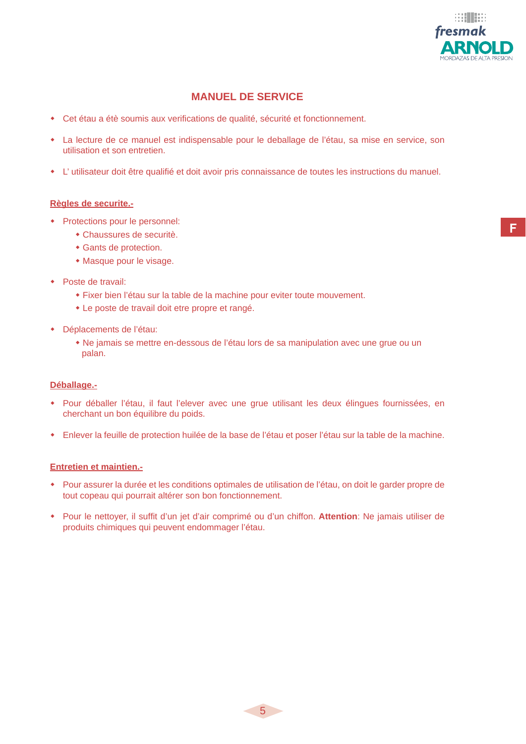

### **MANUEL DE SERVICE**

- Cet étau a étè soumis aux verifications de qualité, sécurité et fonctionnement.
- La lecture de ce manuel est indispensable pour le deballage de l'étau, sa mise en service, son utilisation et son entretien.
- L'utilisateur doit être qualifié et doit avoir pris connaissance de toutes les instructions du manuel.

#### **Règles de securite.-**

- Protections pour le personnel:
	- Chaussures de securitè.
	- Gants de protection.
	- Masque pour le visage.
- Poste de travail:
	- Fixer bien l'étau sur la table de la machine pour eviter toute mouvement.
	- Le poste de travail doit etre propre et rangé.
- Déplacements de l'étau:
	- Ne jamais se mettre en-dessous de l'étau lors de sa manipulation avec une grue ou un palan.

#### **Déballage.-**

- Pour déballer l'étau, il faut l'elever avec une grue utilisant les deux élingues fournissées, en cherchant un bon équilibre du poids.
- Enlever la feuille de protection huilée de la base de l'étau et poser l'étau sur la table de la machine.

#### **Entretien et maintien.-**

- Pour assurer la durée et les conditions optimales de utilisation de l'étau, on doit le garder propre de tout copeau qui pourrait altérer son bon fonctionnement.
- \* Pour le nettoyer, il suffit d'un jet d'air comprimé ou d'un chiffon. Attention: Ne jamais utiliser de produits chimiques qui peuvent endommager l'étau.

F.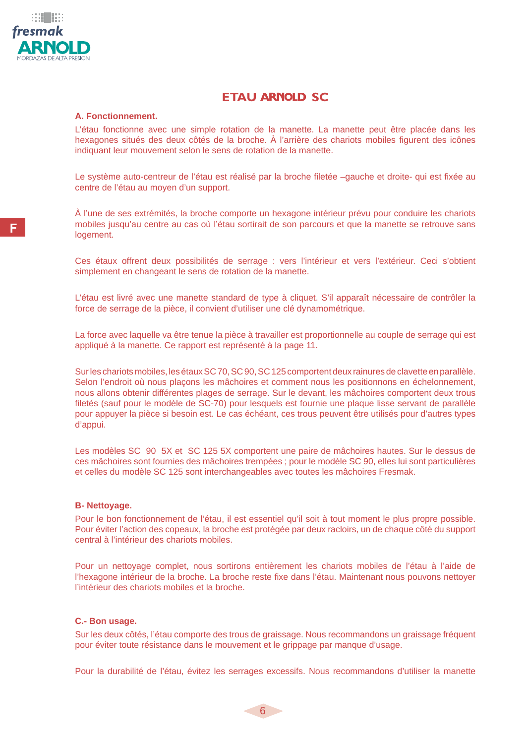

### **ETAU ARNOLD SC**

#### **A. Fonctionnement.**

L'étau fonctionne avec une simple rotation de la manette. La manette peut être placée dans les hexagones situés des deux côtés de la broche. À l'arrière des chariots mobiles figurent des icônes indiquant leur mouvement selon le sens de rotation de la manette.

Le système auto-centreur de l'étau est réalisé par la broche filetée –gauche et droite- qui est fixée au centre de l'étau au moyen d'un support.

À l'une de ses extrémités, la broche comporte un hexagone intérieur prévu pour conduire les chariots mobiles jusqu'au centre au cas où l'étau sortirait de son parcours et que la manette se retrouve sans logement.

Ces étaux offrent deux possibilités de serrage : vers l'intérieur et vers l'extérieur. Ceci s'obtient simplement en changeant le sens de rotation de la manette.

L'étau est livré avec une manette standard de type à cliquet. S'il apparaît nécessaire de contrôler la force de serrage de la pièce, il convient d'utiliser une clé dynamométrique.

La force avec laquelle va être tenue la pièce à travailler est proportionnelle au couple de serrage qui est appliqué à la manette. Ce rapport est représenté à la page 11.

Sur les chariots mobiles, les étaux SC 70, SC 90, SC 125 comportent deux rainures de clavette en parallèle. Selon l'endroit où nous plaçons les mâchoires et comment nous les positionnons en échelonnement, nous allons obtenir différentes plages de serrage. Sur le devant, les mâchoires comportent deux trous filetés (sauf pour le modèle de SC-70) pour lesquels est fournie une plaque lisse servant de parallèle pour appuyer la pièce si besoin est. Le cas échéant, ces trous peuvent être utilisés pour d'autres types d'appui.

Les modèles SC 90 5X et SC 125 5X comportent une paire de mâchoires hautes. Sur le dessus de ces mâchoires sont fournies des mâchoires trempées ; pour le modèle SC 90, elles lui sont particulières et celles du modèle SC 125 sont interchangeables avec toutes les mâchoires Fresmak.

#### **B- Nettoyage.**

Pour le bon fonctionnement de l'étau, il est essentiel qu'il soit à tout moment le plus propre possible. Pour éviter l'action des copeaux, la broche est protégée par deux racloirs, un de chaque côté du support central à l'intérieur des chariots mobiles.

Pour un nettoyage complet, nous sortirons entièrement les chariots mobiles de l'étau à l'aide de l'hexagone intérieur de la broche. La broche reste fixe dans l'étau. Maintenant nous pouvons nettoyer l'intérieur des chariots mobiles et la broche.

#### **C.- Bon usage.**

Sur les deux côtés, l'étau comporte des trous de graissage. Nous recommandons un graissage fréquent pour éviter toute résistance dans le mouvement et le grippage par manque d'usage.

Pour la durabilité de l'étau, évitez les serrages excessifs. Nous recommandons d'utiliser la manette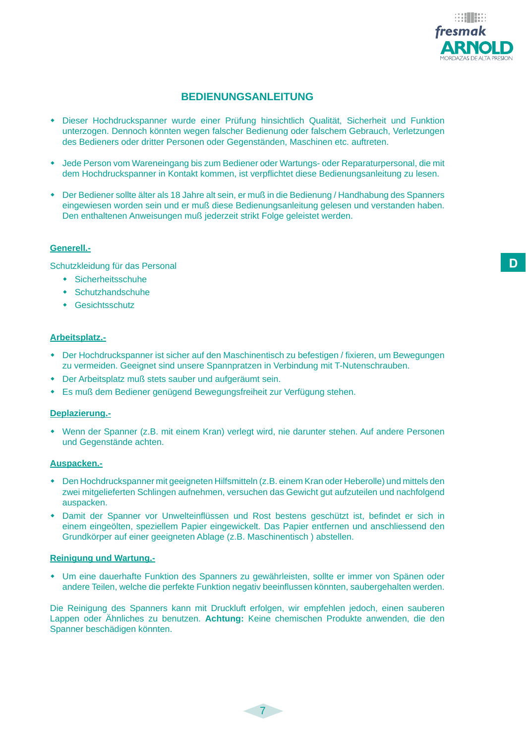

### **BEDIENUNGSANLEITUNG**

- Dieser Hochdruckspanner wurde einer Prüfung hinsichtlich Qualität, Sicherheit und Funktion unterzogen. Dennoch könnten wegen falscher Bedienung oder falschem Gebrauch, Verletzungen des Bedieners oder dritter Personen oder Gegenständen, Maschinen etc. auftreten.
- Jede Person vom Wareneingang bis zum Bediener oder Wartungs- oder Reparaturpersonal, die mit dem Hochdruckspanner in Kontakt kommen, ist verpflichtet diese Bedienungsanleitung zu lesen.
- Der Bediener sollte älter als 18 Jahre alt sein, er muß in die Bedienung / Handhabung des Spanners eingewiesen worden sein und er muß diese Bedienungsanleitung gelesen und verstanden haben. Den enthaltenen Anweisungen muß jederzeit strikt Folge geleistet werden.

#### **Generell.-**

Schutzkleidung für das Personal

- Sicherheitsschuhe
- Schutzhandschuhe
- Gesichtsschutz

#### **Arbeitsplatz.-**

- Der Hochdruckspanner ist sicher auf den Maschinentisch zu befestigen / fixieren, um Bewegungen zu vermeiden. Geeignet sind unsere Spannpratzen in Verbindung mit T-Nutenschrauben.
- Der Arbeitsplatz muß stets sauber und aufgeräumt sein.
- Es muß dem Bediener genügend Bewegungsfreiheit zur Verfügung stehen.

#### **Deplazierung.-**

 Wenn der Spanner (z.B. mit einem Kran) verlegt wird, nie darunter stehen. Auf andere Personen und Gegenstände achten.

#### **Auspacken.-**

- Den Hochdruckspanner mit geeigneten Hilfsmitteln (z.B. einem Kran oder Heberolle) und mittels den zwei mitgelieferten Schlingen aufnehmen, versuchen das Gewicht gut aufzuteilen und nachfolgend auspacken.
- Damit der Spanner vor Unwelteinflüssen und Rost bestens geschützt ist, befindet er sich in einem eingeölten, speziellem Papier eingewickelt. Das Papier entfernen und anschliessend den Grundkörper auf einer geeigneten Ablage (z.B. Maschinentisch ) abstellen.

#### **Reinigung und Wartung.-**

 Um eine dauerhafte Funktion des Spanners zu gewährleisten, sollte er immer von Spänen oder andere Teilen, welche die perfekte Funktion negativ beeinflussen könnten, saubergehalten werden.

Die Reinigung des Spanners kann mit Druckluft erfolgen, wir empfehlen jedoch, einen sauberen Lappen oder Ähnliches zu benutzen. **Achtung:** Keine chemischen Produkte anwenden, die den Spanner beschädigen könnten.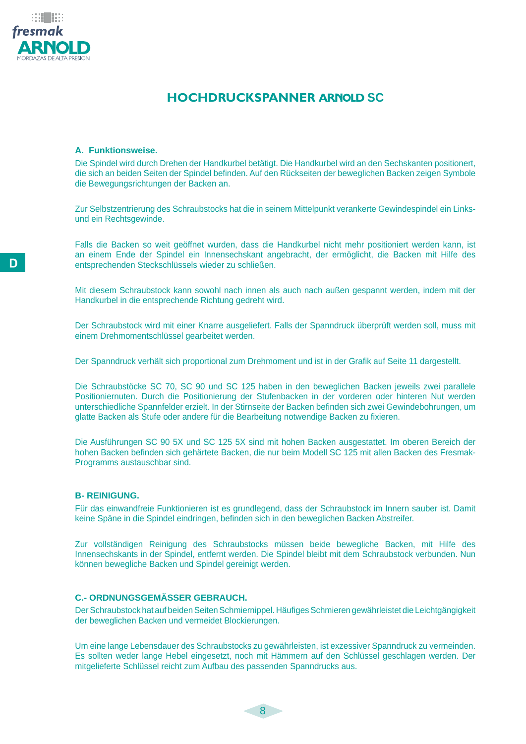

#### **A. Funktionsweise.**

Die Spindel wird durch Drehen der Handkurbel betätigt. Die Handkurbel wird an den Sechskanten positionert, die sich an beiden Seiten der Spindel befinden. Auf den Rückseiten der beweglichen Backen zeigen Symbole die Bewegungsrichtungen der Backen an.

Zur Selbstzentrierung des Schraubstocks hat die in seinem Mittelpunkt verankerte Gewindespindel ein Linksund ein Rechtsgewinde.

Falls die Backen so weit geöffnet wurden, dass die Handkurbel nicht mehr positioniert werden kann, ist an einem Ende der Spindel ein Innensechskant angebracht, der ermöglicht, die Backen mit Hilfe des entsprechenden Steckschlüssels wieder zu schließen.

Mit diesem Schraubstock kann sowohl nach innen als auch nach außen gespannt werden, indem mit der Handkurbel in die entsprechende Richtung gedreht wird.

Der Schraubstock wird mit einer Knarre ausgeliefert. Falls der Spanndruck überprüft werden soll, muss mit einem Drehmomentschlüssel gearbeitet werden.

Der Spanndruck verhält sich proportional zum Drehmoment und ist in der Grafik auf Seite 11 dargestellt.

Die Schraubstöcke SC 70, SC 90 und SC 125 haben in den beweglichen Backen jeweils zwei parallele Positioniernuten. Durch die Positionierung der Stufenbacken in der vorderen oder hinteren Nut werden unterschiedliche Spannfelder erzielt. In der Stirnseite der Backen befinden sich zwei Gewindebohrungen, um glatte Backen als Stufe oder andere für die Bearbeitung notwendige Backen zu fixieren.

Die Ausführungen SC 90 5X und SC 125 5X sind mit hohen Backen ausgestattet. Im oberen Bereich der hohen Backen befinden sich gehärtete Backen, die nur beim Modell SC 125 mit allen Backen des Fresmak-Programms austauschbar sind.

#### **B- REINIGUNG.**

Für das einwandfreie Funktionieren ist es grundlegend, dass der Schraubstock im Innern sauber ist. Damit keine Späne in die Spindel eindringen, befinden sich in den beweglichen Backen Abstreifer.

Zur vollständigen Reinigung des Schraubstocks müssen beide bewegliche Backen, mit Hilfe des Innensechskants in der Spindel, entfernt werden. Die Spindel bleibt mit dem Schraubstock verbunden. Nun können bewegliche Backen und Spindel gereinigt werden.

#### **C.- ORDNUNGSGEMÄSSER GEBRAUCH.**

Der Schraubstock hat auf beiden Seiten Schmiernippel. Häufiges Schmieren gewährleistet die Leichtgängigkeit der beweglichen Backen und vermeidet Blockierungen.

Um eine lange Lebensdauer des Schraubstocks zu gewährleisten, ist exzessiver Spanndruck zu vermeinden. Es sollten weder lange Hebel eingesetzt, noch mit Hämmern auf den Schlüssel geschlagen werden. Der mitgelieferte Schlüssel reicht zum Aufbau des passenden Spanndrucks aus.

e al III de S fresmak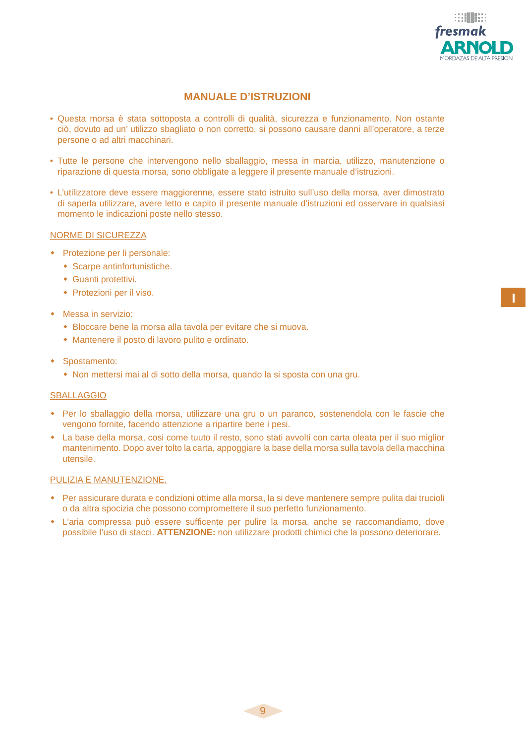

### **MANUALE D'ISTRUZIONI**

- Questa morsa è stata sottoposta a controlli di qualità, sicurezza e funzionamento. Non ostante ciò, dovuto ad un' utilizzo sbagliato o non corretto, si possono causare danni all'operatore, a terze persone o ad altri macchinari.
- Tutte le persone che intervengono nello sballaggio, messa in marcia, utilizzo, manutenzione o riparazione di questa morsa, sono obbligate a leggere il presente manuale d'istruzioni.
- L'utilizzatore deve essere maggiorenne, essere stato istruito sull'uso della morsa, aver dimostrato di saperla utilizzare, avere letto e capito il presente manuale d'istruzioni ed osservare in qualsiasi momento le indicazioni poste nello stesso.

#### NORME DI SICUREZZA

- Protezione per li personale:
	- Scarpe antinfortunistiche.
	- Guanti protettivi.
	- Protezioni per il viso.
- Messa in servizio:
	- Bloccare bene la morsa alla tavola per evitare che si muova.
	- Mantenere il posto di lavoro pulito e ordinato.
- Spostamento:
	- Non mettersi mai al di sotto della morsa, quando la si sposta con una gru.

#### **SBALLAGGIO**

- Per lo sballaggio della morsa, utilizzare una gru o un paranco, sostenendola con le fascie che vengono fornite, facendo attenzione a ripartire bene i pesi.
- La base della morsa, cosi come tuuto il resto, sono stati avvolti con carta oleata per il suo miglior mantenimento. Dopo aver tolto la carta, appoggiare la base della morsa sulla tavola della macchina utensile.

#### PULIZIA E MANUTENZIONE.

- Per assicurare durata e condizioni ottime alla morsa, la si deve mantenere sempre pulita dai trucioli o da altra spocizia che possono compromettere il suo perfetto funzionamento.
- L'aria compressa può essere sufficente per pulire la morsa, anche se raccomandiamo, dove possibile l'uso di stacci. **ATTENZIONE:** non utilizzare prodotti chimici che la possono deteriorare.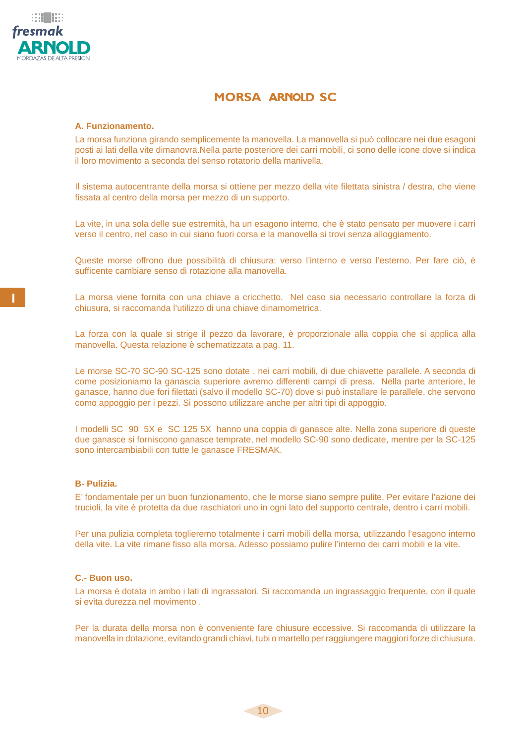

### **MORSA ARNOLD SC**

#### **A. Funzionamento.**

La morsa funziona girando semplicemente la manovella. La manovella si può collocare nei due esagoni posti ai lati della vite dimanovra.Nella parte posteriore dei carri mobili, ci sono delle icone dove si indica il loro movimento a seconda del senso rotatorio della manivella.

Il sistema autocentrante della morsa si ottiene per mezzo della vite filettata sinistra / destra, che viene fissata al centro della morsa per mezzo di un supporto.

La vite, in una sola delle sue estremità, ha un esagono interno, che è stato pensato per muovere i carri verso il centro, nel caso in cui siano fuori corsa e la manovella si trovi senza alloggiamento.

Queste morse offrono due possibilità di chiusura: verso l'interno e verso l'esterno. Per fare ciò, è sufficente cambiare senso di rotazione alla manovella.

La morsa viene fornita con una chiave a cricchetto. Nel caso sia necessario controllare la forza di chiusura, si raccomanda l'utilizzo di una chiave dinamometrica.

La forza con la quale si strige il pezzo da lavorare, è proporzionale alla coppia che si applica alla manovella. Questa relazione è schematizzata a pag. 11.

Le morse SC-70 SC-90 SC-125 sono dotate , nei carri mobili, di due chiavette parallele. A seconda di come posizioniamo la ganascia superiore avremo differenti campi di presa. Nella parte anteriore, le ganasce, hanno due fori filettati (salvo il modello SC-70) dove si può installare le parallele, che servono como appoggio per i pezzi. Si possono utilizzare anche per altri tipi di appoggio.

I modelli SC 90 5X e SC 125 5X hanno una coppia di ganasce alte. Nella zona superiore di queste due ganasce si forniscono ganasce temprate, nel modello SC-90 sono dedicate, mentre per la SC-125 sono intercambiabili con tutte le ganasce FRESMAK.

#### **B- Pulizia.**

E' fondamentale per un buon funzionamento, che le morse siano sempre pulite. Per evitare l'azione dei trucioli, la vite è protetta da due raschiatori uno in ogni lato del supporto centrale, dentro i carri mobili.

Per una pulizia completa toglieremo totalmente i carri mobili della morsa, utilizzando l'esagono interno della vite. La vite rimane fisso alla morsa. Adesso possiamo pulire l'interno dei carri mobili e la vite.

#### **C.- Buon uso.**

La morsa è dotata in ambo i lati di ingrassatori. Si raccomanda un ingrassaggio frequente, con il quale si evita durezza nel movimento .

Per la durata della morsa non è conveniente fare chiusure eccessive. Si raccomanda di utilizzare la manovella in dotazione, evitando grandi chiavi, tubi o martello per raggiungere maggiori forze di chiusura.

 $-10$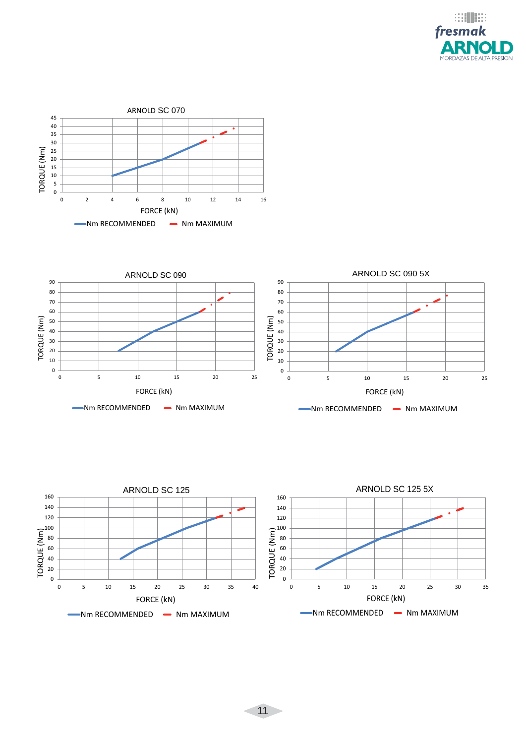





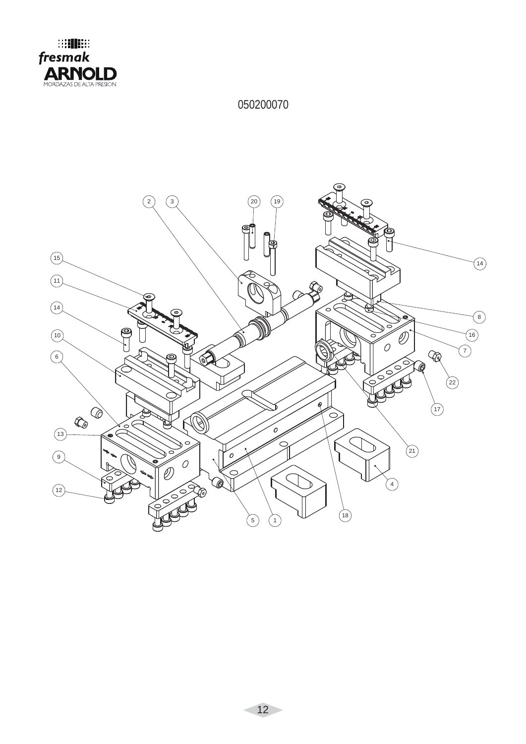

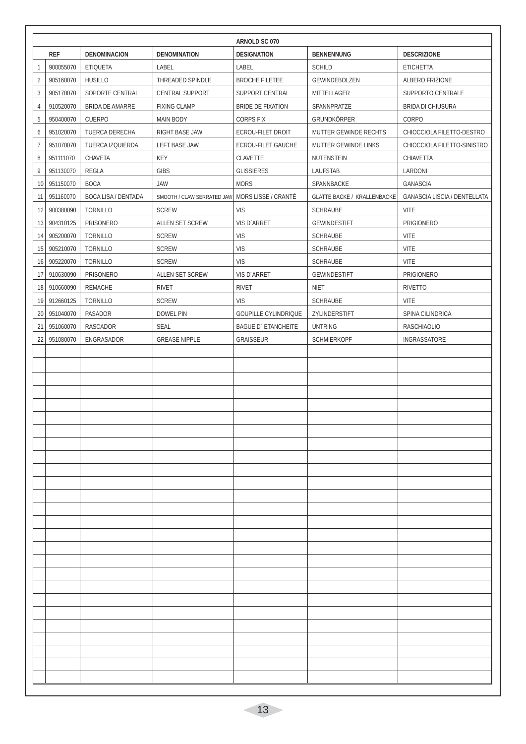|                |            |                            |                            | ARNOLD SC 070               |                                    |                              |
|----------------|------------|----------------------------|----------------------------|-----------------------------|------------------------------------|------------------------------|
|                | <b>REF</b> | <b>DENOMINACION</b>        | <b>DENOMINATION</b>        | <b>DESIGNATION</b>          | <b>BENNENNUNG</b>                  | <b>DESCRIZIONE</b>           |
| 1              | 900055070  | <b>ETIQUETA</b>            | LABEL                      | LABEL                       | <b>SCHILD</b>                      | <b>ETICHETTA</b>             |
| $\overline{2}$ | 905160070  | <b>HUSILLO</b>             | THREADED SPINDLE           | <b>BROCHE FILETEE</b>       | GEWINDEBOLZEN                      | ALBERO FRIZIONE              |
| 3              | 905170070  | SOPORTE CENTRAL            | <b>CENTRAL SUPPORT</b>     | SUPPORT CENTRAL             | MITTELLAGER                        | SUPPORTO CENTRALE            |
| $\overline{4}$ | 910520070  | <b>BRIDA DE AMARRE</b>     | <b>FIXING CLAMP</b>        | BRIDE DE FIXATION           | SPANNPRATZE                        | <b>BRIDA DI CHIUSURA</b>     |
| 5              | 950400070  | <b>CUERPO</b>              | <b>MAIN BODY</b>           | <b>CORPS FIX</b>            | GRUNDKÖRPER                        | CORPO                        |
| 6              | 951020070  | TUERCA DERECHA             | <b>RIGHT BASE JAW</b>      | <b>ECROU-FILET DROIT</b>    | MUTTER GEWINDE RECHTS              | CHIOCCIOLA FILETTO-DESTRO    |
| $\overline{7}$ | 951070070  | TUERCA IZQUIERDA           | <b>LEFT BASE JAW</b>       | ECROU-FILET GAUCHE          | MUTTER GEWINDE LINKS               | CHIOCCIOLA FILETTO-SINISTRO  |
| 8              | 951111070  | CHAVETA                    | KEY                        | CLAVETTE                    | NUTENSTEIN                         | CHIAVETTA                    |
| 9              | 951130070  | REGLA                      | <b>GIBS</b>                | <b>GLISSIERES</b>           | <b>LAUFSTAB</b>                    | LARDONI                      |
| 10             | 951150070  | <b>BOCA</b>                | <b>JAW</b>                 | <b>MORS</b>                 | SPANNBACKE                         | GANASCIA                     |
| 11             | 951160070  | <b>BOCA LISA / DENTADA</b> | SMOOTH / CLAW SERRATED JAW | MORS LISSE / CRANTÉ         | <b>GLATTE BACKE / KRALLENBACKE</b> | GANASCIA LISCIA / DENTELLATA |
| 12             | 900380090  | <b>TORNILLO</b>            | <b>SCREW</b>               | <b>VIS</b>                  | <b>SCHRAUBE</b>                    | <b>VITE</b>                  |
| 13             | 904310125  | <b>PRISONERO</b>           | ALLEN SET SCREW            | VIS D'ARRET                 | <b>GEWINDESTIFT</b>                | PRIGIONERO                   |
| 14             | 905200070  | <b>TORNILLO</b>            | <b>SCREW</b>               | <b>VIS</b>                  | <b>SCHRAUBE</b>                    | <b>VITE</b>                  |
| 15             | 905210070  | <b>TORNILLO</b>            | SCREW                      | <b>VIS</b>                  | SCHRAUBE                           | <b>VITE</b>                  |
| 16             | 905220070  | <b>TORNILLO</b>            | <b>SCREW</b>               | <b>VIS</b>                  | <b>SCHRAUBE</b>                    | <b>VITE</b>                  |
| 17             | 910630090  | <b>PRISONERO</b>           | ALLEN SET SCREW            | VIS D'ARRET                 | <b>GEWINDESTIFT</b>                | <b>PRIGIONERO</b>            |
| 18             | 910660090  | REMACHE                    | <b>RIVET</b>               | <b>RIVET</b>                | <b>NIET</b>                        | <b>RIVETTO</b>               |
| 19             | 912660125  | <b>TORNILLO</b>            | SCREW                      | <b>VIS</b>                  | SCHRAUBE                           | <b>VITE</b>                  |
| 20             | 951040070  | PASADOR                    | <b>DOWEL PIN</b>           | <b>GOUPILLE CYLINDRIQUE</b> | ZYLINDERSTIFT                      | SPINA CILINDRICA             |
| 21             | 951060070  | RASCADOR                   | <b>SEAL</b>                | <b>BAGUE D'ETANCHEITE</b>   | <b>UNTRING</b>                     | <b>RASCHIAOLIO</b>           |
| 22             | 951080070  | ENGRASADOR                 | <b>GREASE NIPPLE</b>       | <b>GRAISSEUR</b>            | <b>SCHMIERKOPF</b>                 | INGRASSATORE                 |
|                |            |                            |                            |                             |                                    |                              |
|                |            |                            |                            |                             |                                    |                              |
|                |            |                            |                            |                             |                                    |                              |
|                |            |                            |                            |                             |                                    |                              |
|                |            |                            |                            |                             |                                    |                              |
|                |            |                            |                            |                             |                                    |                              |
|                |            |                            |                            |                             |                                    |                              |
|                |            |                            |                            |                             |                                    |                              |
|                |            |                            |                            |                             |                                    |                              |
|                |            |                            |                            |                             |                                    |                              |
|                |            |                            |                            |                             |                                    |                              |
|                |            |                            |                            |                             |                                    |                              |
|                |            |                            |                            |                             |                                    |                              |
|                |            |                            |                            |                             |                                    |                              |
|                |            |                            |                            |                             |                                    |                              |
|                |            |                            |                            |                             |                                    |                              |
|                |            |                            |                            |                             |                                    |                              |
|                |            |                            |                            |                             |                                    |                              |
|                |            |                            |                            |                             |                                    |                              |
|                |            |                            |                            |                             |                                    |                              |
|                |            |                            |                            |                             |                                    |                              |
|                |            |                            |                            |                             |                                    |                              |
|                |            |                            |                            |                             |                                    |                              |
|                |            |                            |                            |                             |                                    |                              |
|                |            |                            |                            |                             |                                    |                              |
|                |            |                            |                            |                             |                                    |                              |
|                |            |                            |                            |                             |                                    |                              |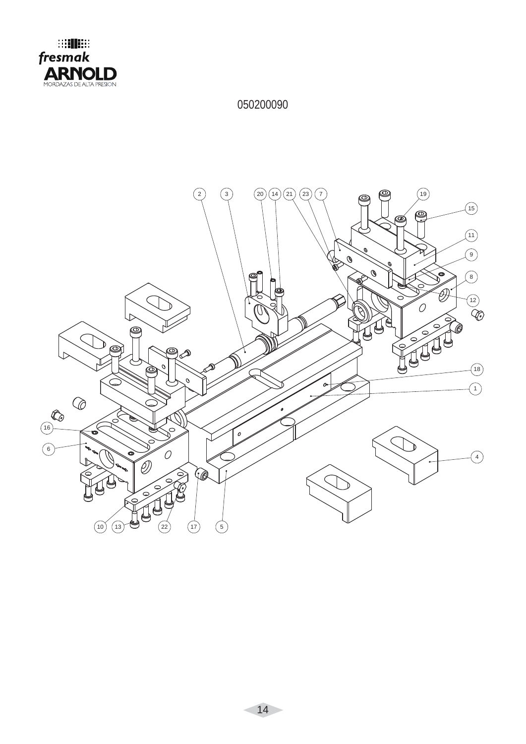

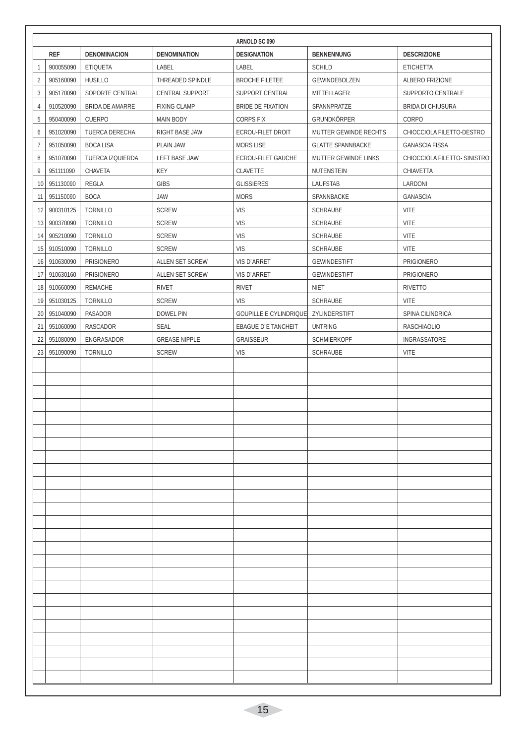|                |            |                        |                        | ARNOLD SC 090                 |                          |                              |
|----------------|------------|------------------------|------------------------|-------------------------------|--------------------------|------------------------------|
|                | <b>REF</b> | <b>DENOMINACION</b>    | <b>DENOMINATION</b>    | <b>DESIGNATION</b>            | <b>BENNENNUNG</b>        | <b>DESCRIZIONE</b>           |
| 1              | 900055090  | <b>ETIQUETA</b>        | LABEL                  | LABEL                         | <b>SCHILD</b>            | <b>ETICHETTA</b>             |
| $\overline{2}$ | 905160090  | <b>HUSILLO</b>         | THREADED SPINDLE       | <b>BROCHE FILETEE</b>         | GEWINDEBOLZEN            | ALBERO FRIZIONE              |
| 3              | 905170090  | SOPORTE CENTRAL        | <b>CENTRAL SUPPORT</b> | SUPPORT CENTRAL               | MITTELLAGER              | SUPPORTO CENTRALE            |
| 4              | 910520090  | <b>BRIDA DE AMARRE</b> | <b>FIXING CLAMP</b>    | BRIDE DE FIXATION             | SPANNPRATZE              | <b>BRIDA DI CHIUSURA</b>     |
| 5              | 950400090  | <b>CUERPO</b>          | <b>MAIN BODY</b>       | <b>CORPS FIX</b>              | GRUNDKÖRPER              | CORPO                        |
| 6              | 951020090  | TUERCA DERECHA         | <b>RIGHT BASE JAW</b>  | <b>ECROU-FILET DROIT</b>      | MUTTER GEWINDE RECHTS    | CHIOCCIOLA FILETTO-DESTRO    |
| $\overline{7}$ | 951050090  | <b>BOCA LISA</b>       | <b>PLAIN JAW</b>       | <b>MORS LISE</b>              | <b>GLATTE SPANNBACKE</b> | <b>GANASCIA FISSA</b>        |
| 8              | 951070090  | TUERCA IZQUIERDA       | LEFT BASE JAW          | ECROU-FILET GAUCHE            | MUTTER GEWINDE LINKS     | CHIOCCIOLA FILETTO- SINISTRO |
| 9              | 951111090  | CHAVETA                | KEY                    | CLAVETTE                      | NUTENSTEIN               | CHIAVETTA                    |
| 10             | 951130090  | REGLA                  | <b>GIBS</b>            | <b>GLISSIERES</b>             | LAUFSTAB                 | LARDONI                      |
| 11             | 951150090  | <b>BOCA</b>            | JAW                    | <b>MORS</b>                   | SPANNBACKE               | GANASCIA                     |
| 12             | 900310125  | <b>TORNILLO</b>        | <b>SCREW</b>           | <b>VIS</b>                    | <b>SCHRAUBE</b>          | <b>VITE</b>                  |
| 13             | 900370090  | <b>TORNILLO</b>        | <b>SCREW</b>           | <b>VIS</b>                    | <b>SCHRAUBE</b>          | <b>VITE</b>                  |
| 14             | 905210090  | <b>TORNILLO</b>        | <b>SCREW</b>           | <b>VIS</b>                    | SCHRAUBE                 | <b>VITE</b>                  |
| 15             | 910510090  | <b>TORNILLO</b>        | <b>SCREW</b>           | <b>VIS</b>                    | SCHRAUBE                 | <b>VITE</b>                  |
| 16             | 910630090  | PRISIONERO             | ALLEN SET SCREW        | VIS D'ARRET                   | <b>GEWINDESTIFT</b>      | <b>PRIGIONERO</b>            |
| 17             | 910630160  | <b>PRISIONERO</b>      | ALLEN SET SCREW        | VIS D'ARRET                   | <b>GEWINDESTIFT</b>      | <b>PRIGIONERO</b>            |
| 18             | 910660090  | REMACHE                | <b>RIVET</b>           | <b>RIVET</b>                  | <b>NIET</b>              | <b>RIVETTO</b>               |
| 19             | 951030125  | <b>TORNILLO</b>        | <b>SCREW</b>           | <b>VIS</b>                    | SCHRAUBE                 | <b>VITE</b>                  |
| 20             | 951040090  | PASADOR                | <b>DOWEL PIN</b>       | <b>GOUPILLE E CYLINDRIQUE</b> | ZYLINDERSTIFT            | SPINA CILINDRICA             |
| 21             | 951060090  | RASCADOR               | <b>SEAL</b>            | <b>EBAGUE D'E TANCHEIT</b>    | <b>UNTRING</b>           | <b>RASCHIAOLIO</b>           |
| 22             | 951080090  | ENGRASADOR             | <b>GREASE NIPPLE</b>   | <b>GRAISSEUR</b>              | <b>SCHMIERKOPF</b>       | INGRASSATORE                 |
| 23             | 951090090  | <b>TORNILLO</b>        | <b>SCREW</b>           | <b>VIS</b>                    | SCHRAUBE                 | <b>VITE</b>                  |
|                |            |                        |                        |                               |                          |                              |
|                |            |                        |                        |                               |                          |                              |
|                |            |                        |                        |                               |                          |                              |
|                |            |                        |                        |                               |                          |                              |
|                |            |                        |                        |                               |                          |                              |
|                |            |                        |                        |                               |                          |                              |
|                |            |                        |                        |                               |                          |                              |
|                |            |                        |                        |                               |                          |                              |
|                |            |                        |                        |                               |                          |                              |
|                |            |                        |                        |                               |                          |                              |
|                |            |                        |                        |                               |                          |                              |
|                |            |                        |                        |                               |                          |                              |
|                |            |                        |                        |                               |                          |                              |
|                |            |                        |                        |                               |                          |                              |
|                |            |                        |                        |                               |                          |                              |
|                |            |                        |                        |                               |                          |                              |
|                |            |                        |                        |                               |                          |                              |
|                |            |                        |                        |                               |                          |                              |
|                |            |                        |                        |                               |                          |                              |
|                |            |                        |                        |                               |                          |                              |
|                |            |                        |                        |                               |                          |                              |
|                |            |                        |                        |                               |                          |                              |
|                |            |                        |                        |                               |                          |                              |
|                |            |                        |                        |                               |                          |                              |
|                |            |                        |                        |                               |                          |                              |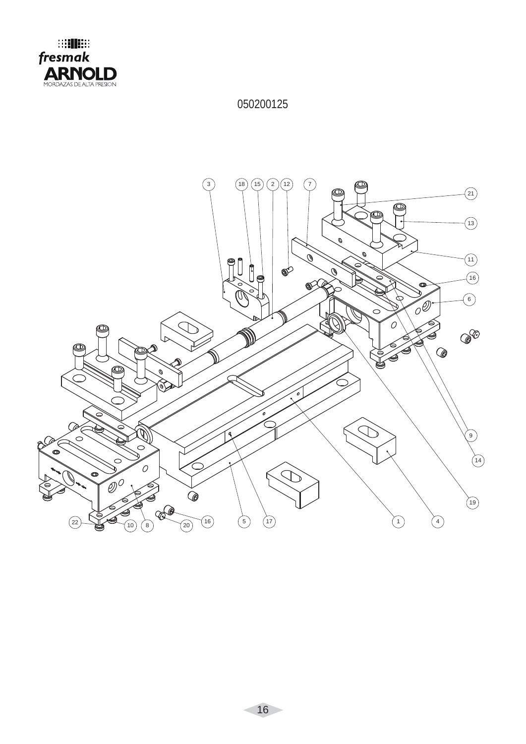

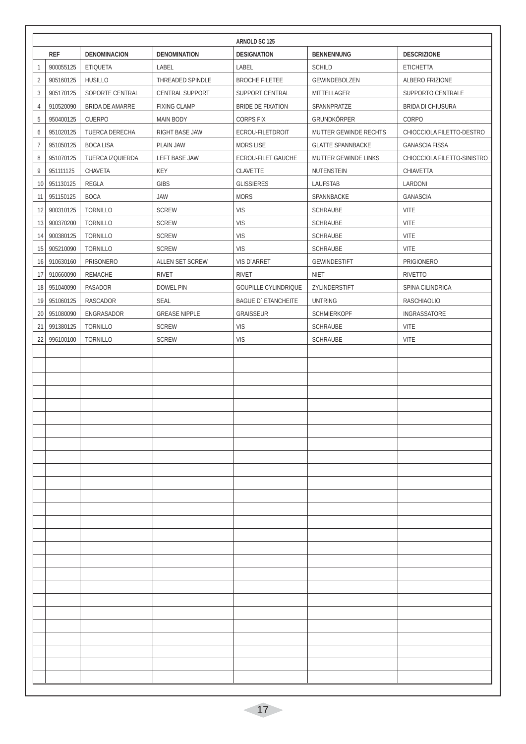| 1<br>$\overline{2}$<br>$\mathfrak{Z}$ | <b>REF</b><br>900055125 | <b>DENOMINACION</b>    | <b>DENOMINATION</b>    |                             |                          |                             |
|---------------------------------------|-------------------------|------------------------|------------------------|-----------------------------|--------------------------|-----------------------------|
|                                       |                         |                        |                        | <b>DESIGNATION</b>          | <b>BENNENNUNG</b>        | <b>DESCRIZIONE</b>          |
|                                       |                         | <b>ETIQUETA</b>        | LABEL                  | LABEL                       | <b>SCHILD</b>            | <b>ETICHETTA</b>            |
|                                       | 905160125               | <b>HUSILLO</b>         | THREADED SPINDLE       | <b>BROCHE FILETEE</b>       | GEWINDEBOLZEN            | ALBERO FRIZIONE             |
|                                       | 905170125               | SOPORTE CENTRAL        | <b>CENTRAL SUPPORT</b> | SUPPORT CENTRAL             | MITTELLAGER              | SUPPORTO CENTRALE           |
| $\overline{4}$                        | 910520090               | <b>BRIDA DE AMARRE</b> | <b>FIXING CLAMP</b>    | <b>BRIDE DE FIXATION</b>    | SPANNPRATZE              | <b>BRIDA DI CHIUSURA</b>    |
| 5                                     | 950400125               | <b>CUERPO</b>          | <b>MAIN BODY</b>       | <b>CORPS FIX</b>            | GRUNDKÖRPER              | CORPO                       |
| 6                                     | 951020125               | TUERCA DERECHA         | RIGHT BASE JAW         | ECROU-FILETDROIT            | MUTTER GEWINDE RECHTS    | CHIOCCIOLA FILETTO-DESTRO   |
| $\overline{7}$                        | 951050125               | <b>BOCA LISA</b>       | PLAIN JAW              | <b>MORS LISE</b>            | <b>GLATTE SPANNBACKE</b> | <b>GANASCIA FISSA</b>       |
| 8                                     | 951070125               | TUERCA IZQUIERDA       | <b>LEFT BASE JAW</b>   | ECROU-FILET GAUCHE          | MUTTER GEWINDE LINKS     | CHIOCCIOLA FILETTO-SINISTRO |
| 9                                     | 951111125               | CHAVETA                | KEY                    | CLAVETTE                    | NUTENSTEIN               | CHIAVETTA                   |
| 10                                    | 951130125               | REGLA                  | <b>GIBS</b>            | <b>GLISSIERES</b>           | LAUFSTAB                 | LARDONI                     |
| 11                                    | 951150125               | <b>BOCA</b>            | <b>JAW</b>             | <b>MORS</b>                 | SPANNBACKE               | GANASCIA                    |
| 12                                    | 900310125               | <b>TORNILLO</b>        | <b>SCREW</b>           | <b>VIS</b>                  | <b>SCHRAUBE</b>          | <b>VITE</b>                 |
|                                       | 13 900370200            | <b>TORNILLO</b>        | <b>SCREW</b>           | <b>VIS</b>                  | SCHRAUBE                 | <b>VITE</b>                 |
| 14                                    | 900380125               | <b>TORNILLO</b>        | <b>SCREW</b>           | <b>VIS</b>                  | <b>SCHRAUBE</b>          | <b>VITE</b>                 |
| 15                                    | 905210090               | <b>TORNILLO</b>        | <b>SCREW</b>           | <b>VIS</b>                  | <b>SCHRAUBE</b>          | <b>VITE</b>                 |
| 16                                    | 910630160               | <b>PRISONERO</b>       | ALLEN SET SCREW        | VIS D'ARRET                 | <b>GEWINDESTIFT</b>      | <b>PRIGIONERO</b>           |
| 17                                    | 910660090               | REMACHE                | <b>RIVET</b>           | <b>RIVET</b>                | <b>NIET</b>              | <b>RIVETTO</b>              |
| 18                                    | 951040090               | PASADOR                | <b>DOWEL PIN</b>       | <b>GOUPILLE CYLINDRIQUE</b> | ZYLINDERSTIFT            | SPINA CILINDRICA            |
| 19                                    | 951060125               | RASCADOR               | <b>SEAL</b>            | <b>BAGUE D'ETANCHEITE</b>   | <b>UNTRING</b>           | <b>RASCHIAOLIO</b>          |
| 20                                    | 951080090               | ENGRASADOR             | <b>GREASE NIPPLE</b>   | <b>GRAISSEUR</b>            | <b>SCHMIERKOPF</b>       | INGRASSATORE                |
| 21                                    | 991380125               | <b>TORNILLO</b>        | <b>SCREW</b>           | <b>VIS</b>                  | <b>SCHRAUBE</b>          | <b>VITE</b>                 |
| 22                                    | 996100100               | <b>TORNILLO</b>        | <b>SCREW</b>           | <b>VIS</b>                  | SCHRAUBE                 | <b>VITE</b>                 |
|                                       |                         |                        |                        |                             |                          |                             |
|                                       |                         |                        |                        |                             |                          |                             |
|                                       |                         |                        |                        |                             |                          |                             |
|                                       |                         |                        |                        |                             |                          |                             |
|                                       |                         |                        |                        |                             |                          |                             |
|                                       |                         |                        |                        |                             |                          |                             |
|                                       |                         |                        |                        |                             |                          |                             |
|                                       |                         |                        |                        |                             |                          |                             |
|                                       |                         |                        |                        |                             |                          |                             |
|                                       |                         |                        |                        |                             |                          |                             |
|                                       |                         |                        |                        |                             |                          |                             |
|                                       |                         |                        |                        |                             |                          |                             |
|                                       |                         |                        |                        |                             |                          |                             |
|                                       |                         |                        |                        |                             |                          |                             |
|                                       |                         |                        |                        |                             |                          |                             |
|                                       |                         |                        |                        |                             |                          |                             |
|                                       |                         |                        |                        |                             |                          |                             |
|                                       |                         |                        |                        |                             |                          |                             |
|                                       |                         |                        |                        |                             |                          |                             |
|                                       |                         |                        |                        |                             |                          |                             |
|                                       |                         |                        |                        |                             |                          |                             |
|                                       |                         |                        |                        |                             |                          |                             |
|                                       |                         |                        |                        |                             |                          |                             |
|                                       |                         |                        |                        |                             |                          |                             |
|                                       |                         |                        |                        |                             |                          |                             |
|                                       |                         |                        |                        |                             |                          |                             |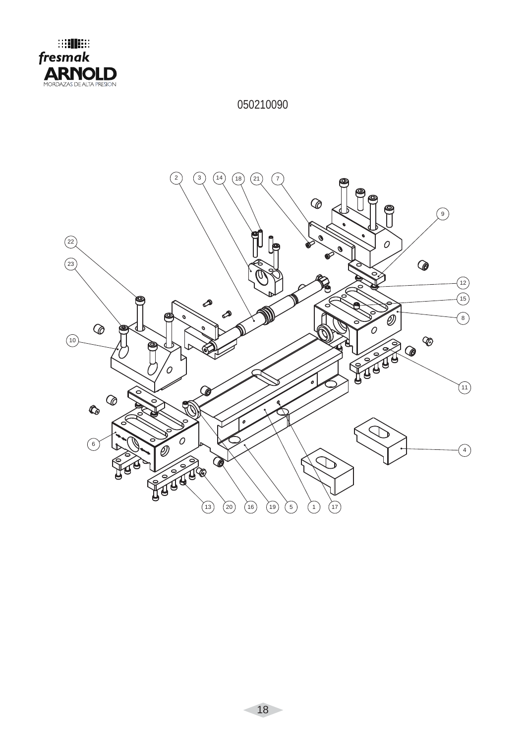

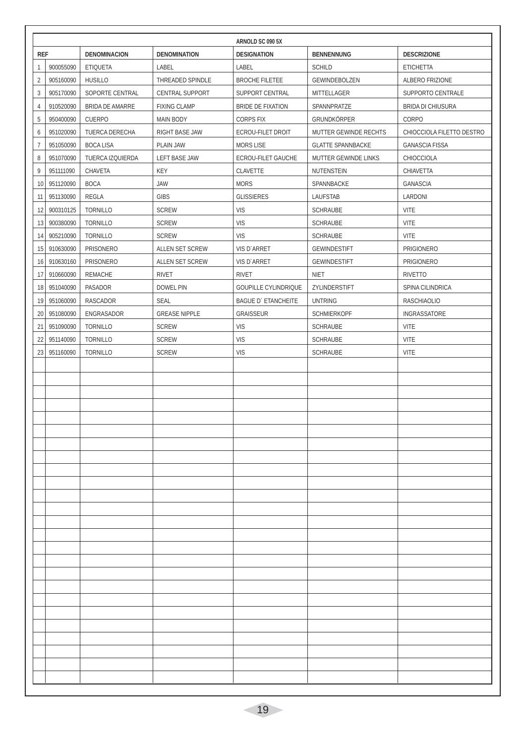|                |           |                        |                        | ARNOLD SC 090 5X            |                          |                           |
|----------------|-----------|------------------------|------------------------|-----------------------------|--------------------------|---------------------------|
| <b>REF</b>     |           | <b>DENOMINACION</b>    | <b>DENOMINATION</b>    | <b>DESIGNATION</b>          | <b>BENNENNUNG</b>        | <b>DESCRIZIONE</b>        |
| 1              | 900055090 | <b>ETIQUETA</b>        | LABEL                  | LABEL                       | <b>SCHILD</b>            | <b>ETICHETTA</b>          |
| $\overline{2}$ | 905160090 | <b>HUSILLO</b>         | THREADED SPINDLE       | <b>BROCHE FILETEE</b>       | GEWINDEBOLZEN            | ALBERO FRIZIONE           |
| 3              | 905170090 | SOPORTE CENTRAL        | <b>CENTRAL SUPPORT</b> | SUPPORT CENTRAL             | MITTELLAGER              | SUPPORTO CENTRALE         |
| 4              | 910520090 | <b>BRIDA DE AMARRE</b> | <b>FIXING CLAMP</b>    | BRIDE DE FIXATION           | SPANNPRATZE              | <b>BRIDA DI CHIUSURA</b>  |
| 5              | 950400090 | <b>CUERPO</b>          | <b>MAIN BODY</b>       | <b>CORPS FIX</b>            | GRUNDKÖRPER              | CORPO                     |
| 6              | 951020090 | TUERCA DERECHA         | RIGHT BASE JAW         | <b>ECROU-FILET DROIT</b>    | MUTTER GEWINDE RECHTS    | CHIOCCIOLA FILETTO DESTRO |
| 7              | 951050090 | <b>BOCA LISA</b>       | PLAIN JAW              | <b>MORS LISE</b>            | <b>GLATTE SPANNBACKE</b> | <b>GANASCIA FISSA</b>     |
| 8              | 951070090 | TUERCA IZQUIERDA       | LEFT BASE JAW          | ECROU-FILET GAUCHE          | MUTTER GEWINDE LINKS     | CHIOCCIOLA                |
| 9              | 951111090 | CHAVETA                | KEY                    | CLAVETTE                    | NUTENSTEIN               | CHIAVETTA                 |
| 10             | 951120090 | <b>BOCA</b>            | <b>JAW</b>             | <b>MORS</b>                 | SPANNBACKE               | GANASCIA                  |
| 11             | 951130090 | <b>REGLA</b>           | <b>GIBS</b>            | <b>GLISSIERES</b>           | LAUFSTAB                 | LARDONI                   |
| 12             | 900310125 | <b>TORNILLO</b>        | <b>SCREW</b>           | <b>VIS</b>                  | <b>SCHRAUBE</b>          | <b>VITE</b>               |
| 13             | 900380090 | <b>TORNILLO</b>        | <b>SCREW</b>           | <b>VIS</b>                  | <b>SCHRAUBE</b>          | <b>VITE</b>               |
| 14             | 905210090 | <b>TORNILLO</b>        | <b>SCREW</b>           | <b>VIS</b>                  | <b>SCHRAUBE</b>          | <b>VITE</b>               |
| 15             | 910630090 | <b>PRISONERO</b>       | ALLEN SET SCREW        | VIS D'ARRET                 | <b>GEWINDESTIFT</b>      | <b>PRIGIONERO</b>         |
| 16             | 910630160 | <b>PRISONERO</b>       | <b>ALLEN SET SCREW</b> | VIS D'ARRET                 | <b>GEWINDESTIFT</b>      | <b>PRIGIONERO</b>         |
| 17             | 910660090 | <b>REMACHE</b>         | <b>RIVET</b>           | <b>RIVET</b>                | <b>NIET</b>              | <b>RIVETTO</b>            |
| 18             | 951040090 | PASADOR                | <b>DOWEL PIN</b>       | <b>GOUPILLE CYLINDRIQUE</b> | ZYLINDERSTIFT            | SPINA CILINDRICA          |
| 19             | 951060090 | RASCADOR               | <b>SEAL</b>            | <b>BAGUE D'ETANCHEITE</b>   | <b>UNTRING</b>           | <b>RASCHIAOLIO</b>        |
| 20             | 951080090 | ENGRASADOR             | <b>GREASE NIPPLE</b>   | <b>GRAISSEUR</b>            | <b>SCHMIERKOPF</b>       | INGRASSATORE              |
| 21             | 951090090 | <b>TORNILLO</b>        | <b>SCREW</b>           | <b>VIS</b>                  | <b>SCHRAUBE</b>          | VITE                      |
| 22             | 951140090 | <b>TORNILLO</b>        | <b>SCREW</b>           | <b>VIS</b>                  | <b>SCHRAUBE</b>          | VITE                      |
| 23             | 951160090 | <b>TORNILLO</b>        | <b>SCREW</b>           | <b>VIS</b>                  | SCHRAUBE                 | VITE                      |
|                |           |                        |                        |                             |                          |                           |
|                |           |                        |                        |                             |                          |                           |
|                |           |                        |                        |                             |                          |                           |
|                |           |                        |                        |                             |                          |                           |
|                |           |                        |                        |                             |                          |                           |
|                |           |                        |                        |                             |                          |                           |
|                |           |                        |                        |                             |                          |                           |
|                |           |                        |                        |                             |                          |                           |
|                |           |                        |                        |                             |                          |                           |
|                |           |                        |                        |                             |                          |                           |
|                |           |                        |                        |                             |                          |                           |
|                |           |                        |                        |                             |                          |                           |
|                |           |                        |                        |                             |                          |                           |
|                |           |                        |                        |                             |                          |                           |
|                |           |                        |                        |                             |                          |                           |
|                |           |                        |                        |                             |                          |                           |
|                |           |                        |                        |                             |                          |                           |
|                |           |                        |                        |                             |                          |                           |
|                |           |                        |                        |                             |                          |                           |
|                |           |                        |                        |                             |                          |                           |
|                |           |                        |                        |                             |                          |                           |
|                |           |                        |                        |                             |                          |                           |
|                |           |                        |                        |                             |                          |                           |
|                |           |                        |                        |                             |                          |                           |
|                |           |                        |                        |                             |                          |                           |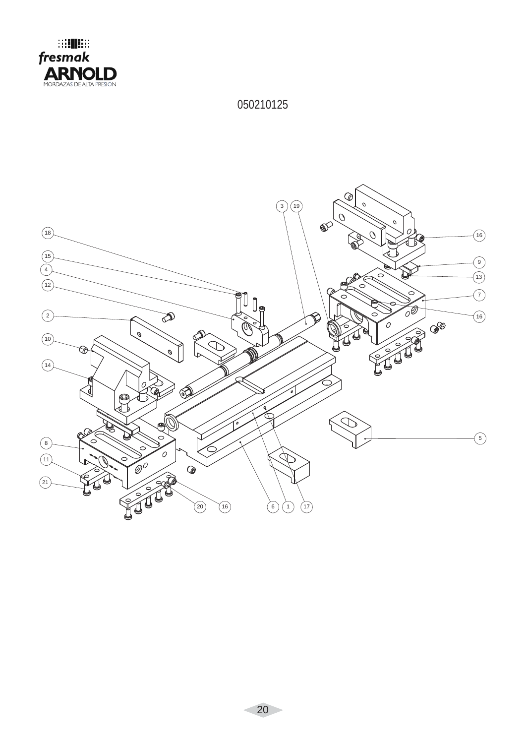

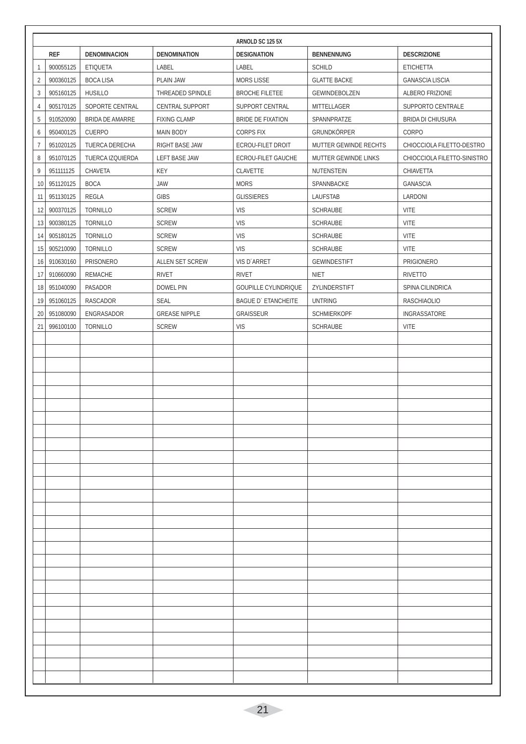|                |              |                        |                        | ARNOLD SC 125 5X            |                       |                             |
|----------------|--------------|------------------------|------------------------|-----------------------------|-----------------------|-----------------------------|
|                | <b>REF</b>   | <b>DENOMINACION</b>    | <b>DENOMINATION</b>    | <b>DESIGNATION</b>          | <b>BENNENNUNG</b>     | <b>DESCRIZIONE</b>          |
| 1              | 900055125    | <b>ETIQUETA</b>        | LABEL                  | LABEL                       | <b>SCHILD</b>         | <b>ETICHETTA</b>            |
| $\overline{2}$ | 900360125    | <b>BOCA LISA</b>       | PLAIN JAW              | <b>MORS LISSE</b>           | <b>GLATTE BACKE</b>   | <b>GANASCIA LISCIA</b>      |
| $\mathfrak{Z}$ | 905160125    | <b>HUSILLO</b>         | THREADED SPINDLE       | <b>BROCHE FILETEE</b>       | GEWINDEBOLZEN         | ALBERO FRIZIONE             |
| $\overline{4}$ | 905170125    | SOPORTE CENTRAL        | <b>CENTRAL SUPPORT</b> | SUPPORT CENTRAL             | MITTELLAGER           | SUPPORTO CENTRALE           |
| 5              | 910520090    | <b>BRIDA DE AMARRE</b> | <b>FIXING CLAMP</b>    | <b>BRIDE DE FIXATION</b>    | SPANNPRATZE           | <b>BRIDA DI CHIUSURA</b>    |
| 6              | 950400125    | <b>CUERPO</b>          | <b>MAIN BODY</b>       | <b>CORPS FIX</b>            | GRUNDKÖRPER           | CORPO                       |
| $\overline{7}$ | 951020125    | <b>TUERCA DERECHA</b>  | RIGHT BASE JAW         | <b>ECROU-FILET DROIT</b>    | MUTTER GEWINDE RECHTS | CHIOCCIOLA FILETTO-DESTRO   |
| 8              | 951070125    | TUERCA IZQUIERDA       | <b>LEFT BASE JAW</b>   | ECROU-FILET GAUCHE          | MUTTER GEWINDE LINKS  | CHIOCCIOLA FILETTO-SINISTRO |
| 9              | 951111125    | CHAVETA                | KEY                    | CLAVETTE                    | NUTENSTEIN            | CHIAVETTA                   |
| 10             | 951120125    | <b>BOCA</b>            | <b>JAW</b>             | <b>MORS</b>                 | SPANNBACKE            | GANASCIA                    |
| 11             | 951130125    | REGLA                  | <b>GIBS</b>            | <b>GLISSIERES</b>           | LAUFSTAB              | LARDONI                     |
| 12             | 900370125    | <b>TORNILLO</b>        | <b>SCREW</b>           | <b>VIS</b>                  | <b>SCHRAUBE</b>       | <b>VITE</b>                 |
|                | 13 900380125 | <b>TORNILLO</b>        | <b>SCREW</b>           | <b>VIS</b>                  | SCHRAUBE              | <b>VITE</b>                 |
| 14             | 905180125    | <b>TORNILLO</b>        | <b>SCREW</b>           | <b>VIS</b>                  | <b>SCHRAUBE</b>       | <b>VITE</b>                 |
| 15             | 905210090    | <b>TORNILLO</b>        | <b>SCREW</b>           | <b>VIS</b>                  | <b>SCHRAUBE</b>       | <b>VITE</b>                 |
| 16             | 910630160    | <b>PRISONERO</b>       | ALLEN SET SCREW        | VIS D'ARRET                 | <b>GEWINDESTIFT</b>   | <b>PRIGIONERO</b>           |
| 17             | 910660090    | REMACHE                | <b>RIVET</b>           | <b>RIVET</b>                | <b>NIET</b>           | <b>RIVETTO</b>              |
| 18             | 951040090    | PASADOR                | <b>DOWEL PIN</b>       | <b>GOUPILLE CYLINDRIQUE</b> | ZYLINDERSTIFT         | SPINA CILINDRICA            |
| 19             | 951060125    | RASCADOR               | <b>SEAL</b>            | <b>BAGUE D'ETANCHEITE</b>   | <b>UNTRING</b>        | <b>RASCHIAOLIO</b>          |
| 20             | 951080090    | ENGRASADOR             | <b>GREASE NIPPLE</b>   | <b>GRAISSEUR</b>            | <b>SCHMIERKOPF</b>    | INGRASSATORE                |
| 21             | 996100100    | <b>TORNILLO</b>        | <b>SCREW</b>           | <b>VIS</b>                  | <b>SCHRAUBE</b>       | <b>VITE</b>                 |
|                |              |                        |                        |                             |                       |                             |
|                |              |                        |                        |                             |                       |                             |
|                |              |                        |                        |                             |                       |                             |
|                |              |                        |                        |                             |                       |                             |
|                |              |                        |                        |                             |                       |                             |
|                |              |                        |                        |                             |                       |                             |
|                |              |                        |                        |                             |                       |                             |
|                |              |                        |                        |                             |                       |                             |
|                |              |                        |                        |                             |                       |                             |
|                |              |                        |                        |                             |                       |                             |
|                |              |                        |                        |                             |                       |                             |
|                |              |                        |                        |                             |                       |                             |
|                |              |                        |                        |                             |                       |                             |
|                |              |                        |                        |                             |                       |                             |
|                |              |                        |                        |                             |                       |                             |
|                |              |                        |                        |                             |                       |                             |
|                |              |                        |                        |                             |                       |                             |
|                |              |                        |                        |                             |                       |                             |
|                |              |                        |                        |                             |                       |                             |
|                |              |                        |                        |                             |                       |                             |
|                |              |                        |                        |                             |                       |                             |
|                |              |                        |                        |                             |                       |                             |
|                |              |                        |                        |                             |                       |                             |
|                |              |                        |                        |                             |                       |                             |
|                |              |                        |                        |                             |                       |                             |
|                |              |                        |                        |                             |                       |                             |
|                |              |                        |                        |                             |                       |                             |
|                |              |                        |                        |                             |                       |                             |